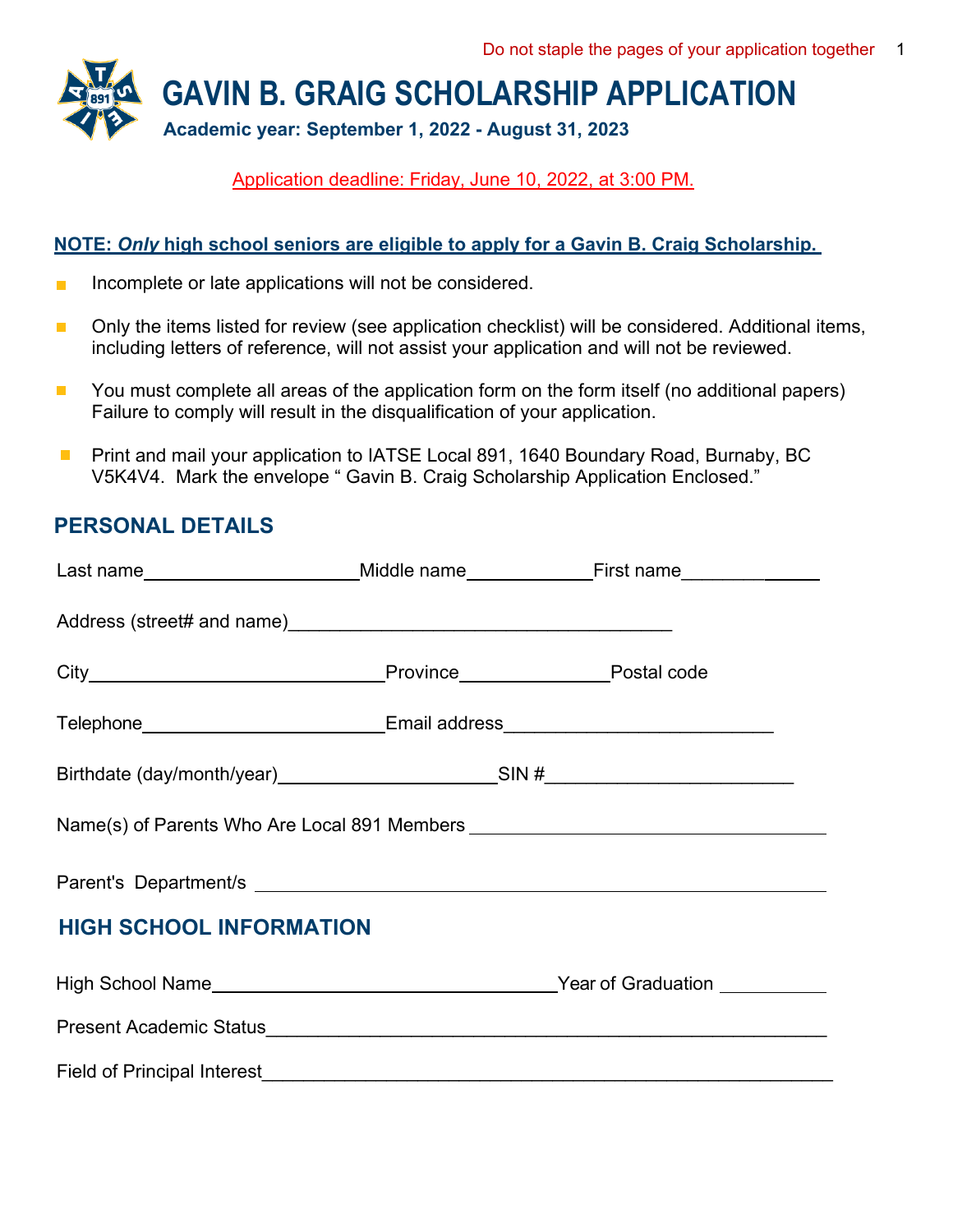

Application deadline: Friday, June 10, 2022, at 3:00 PM.

#### **NOTE:** *Only* **high school seniors are eligible to apply for a Gavin B. Craig Scholarship.**

- Incomplete or late applications will not be considered. n.
- Only the items listed for review (see application checklist) will be considered. Additional items,  $\mathcal{L}_{\mathcal{A}}$ including letters of reference, will not assist your application and will not be reviewed.
- You must complete all areas of the application form on the form itself (no additional papers)  $\mathcal{C}^{\mathcal{A}}$ Failure to comply will result in the disqualification of your application.
- Print and mail your application to IATSE Local 891, 1640 Boundary Road, Burnaby, BC  $\Box$ V5K4V4. Mark the envelope " Gavin B. Craig Scholarship Application Enclosed."

#### **PERSONAL DETAILS**

|                                                                                  |                                                                                  | Last name_______________________Middle name______________First name_____________ |  |
|----------------------------------------------------------------------------------|----------------------------------------------------------------------------------|----------------------------------------------------------------------------------|--|
|                                                                                  |                                                                                  |                                                                                  |  |
|                                                                                  |                                                                                  |                                                                                  |  |
|                                                                                  | Telephone_______________________________Email address___________________________ |                                                                                  |  |
|                                                                                  |                                                                                  | Birthdate (day/month/year)____________________________SIN #_____________________ |  |
| Name(s) of Parents Who Are Local 891 Members ___________________________________ |                                                                                  |                                                                                  |  |
|                                                                                  |                                                                                  |                                                                                  |  |
| <b>HIGH SCHOOL INFORMATION</b>                                                   |                                                                                  |                                                                                  |  |
|                                                                                  |                                                                                  |                                                                                  |  |
|                                                                                  |                                                                                  |                                                                                  |  |
| <b>Field of Principal Interest</b>                                               |                                                                                  |                                                                                  |  |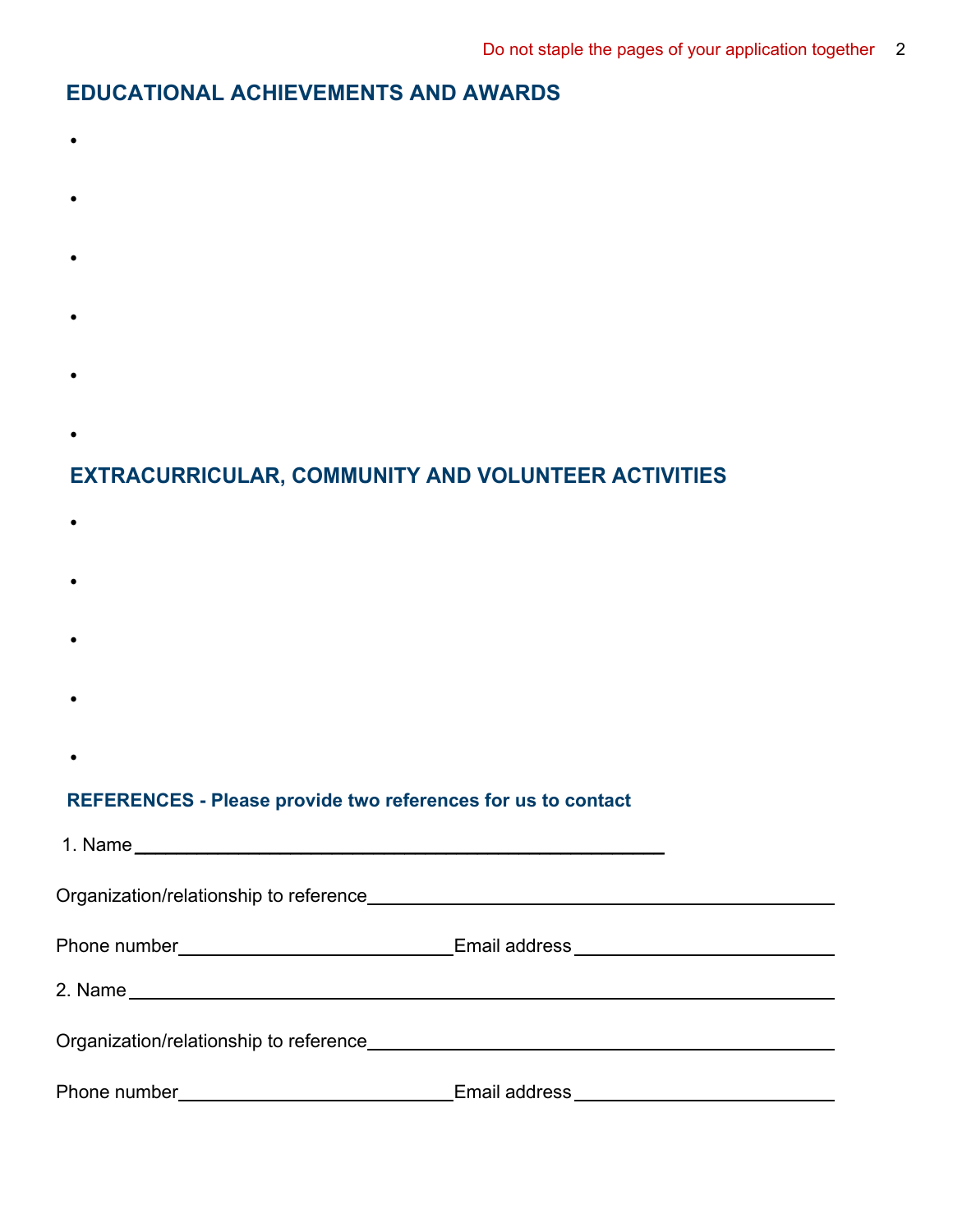### **EDUCATIONAL ACHIEVEMENTS AND AWARDS**

- **•**
- 
- **•**
- **•**
- 
- **•**
- **•**
- 
- **•**

# **EXTRACURRICULAR, COMMUNITY AND VOLUNTEER ACTIVITIES**

- **•**
- **•**
- 
- **•**
- **•**
- **•**

#### **REFERENCES - Please provide two references for us to contact**

|  | Phone number___________________________________Email address____________________ |  |
|--|----------------------------------------------------------------------------------|--|
|  |                                                                                  |  |
|  |                                                                                  |  |
|  | Email address ____________________________                                       |  |